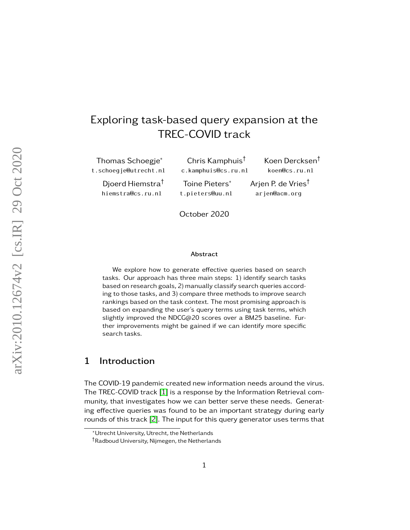# Exploring task-based query expansion at the TREC-COVID track

Thomas Schoegje\* t.schoegje@utrecht.nl

> Djoerd Hiemstra† hiemstra@cs.ru.nl

Chris Kamphuis† c.kamphuis@cs.ru.nl Toine Pieters\* t.pieters@uu.nl

Koen Dercksen† koen@cs.ru.nl Arjen P. de Vries† arjen@acm.org

October 2020

#### Abstract

We explore how to generate effective queries based on search tasks. Our approach has three main steps: 1) identify search tasks based on research goals, 2) manually classify search queries according to those tasks, and 3) compare three methods to improve search rankings based on the task context. The most promising approach is based on expanding the user's query terms using task terms, which slightly improved the NDCG@20 scores over a BM25 baseline. Further improvements might be gained if we can identify more specific search tasks.

## 1 Introduction

The COVID-19 pandemic created new information needs around the virus. The TREC-COVID track  $[1]$  is a response by the Information Retrieval community, that investigates how we can better serve these needs. Generating effective queries was found to be an important strategy during early rounds of this track [\[2\]](#page-13-1). The input for this query generator uses terms that

<sup>\*</sup>Utrecht University, Utrecht, the Netherlands

<sup>†</sup>Radboud University, Nijmegen, the Netherlands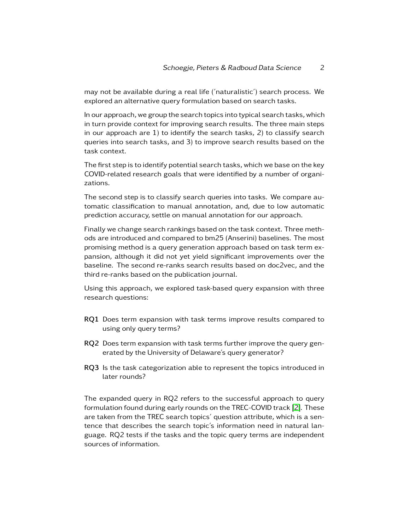may not be available during a real life ('naturalistic') search process. We explored an alternative query formulation based on search tasks.

In our approach, we group the search topics into typical search tasks, which in turn provide context for improving search results. The three main steps in our approach are 1) to identify the search tasks, 2) to classify search queries into search tasks, and 3) to improve search results based on the task context.

The first step is to identify potential search tasks, which we base on the key COVID-related research goals that were identified by a number of organizations.

The second step is to classify search queries into tasks. We compare automatic classification to manual annotation, and, due to low automatic prediction accuracy, settle on manual annotation for our approach.

Finally we change search rankings based on the task context. Three methods are introduced and compared to bm25 (Anserini) baselines. The most promising method is a query generation approach based on task term expansion, although it did not yet yield significant improvements over the baseline. The second re-ranks search results based on doc2vec, and the third re-ranks based on the publication journal.

Using this approach, we explored task-based query expansion with three research questions:

- RQ1 Does term expansion with task terms improve results compared to using only query terms?
- RQ2 Does term expansion with task terms further improve the query generated by the University of Delaware's query generator?
- RQ3 Is the task categorization able to represent the topics introduced in later rounds?

The expanded query in RQ2 refers to the successful approach to query formulation found during early rounds on the TREC-COVID track [\[2\]](#page-13-1). These are taken from the TREC search topics' question attribute, which is a sentence that describes the search topic's information need in natural language. RQ2 tests if the tasks and the topic query terms are independent sources of information.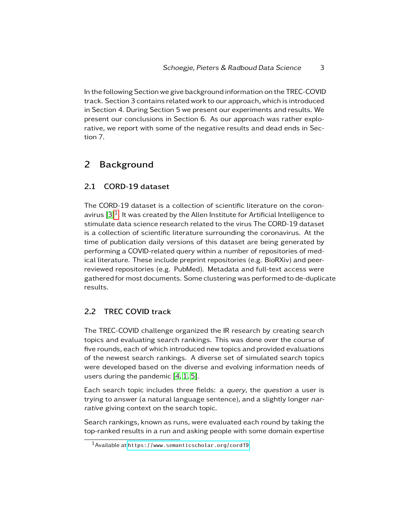In the following Section we give background information on the TREC-COVID track. Section 3 contains related work to our approach, which is introduced in Section 4. During Section 5 we present our experiments and results. We present our conclusions in Section 6. As our approach was rather explorative, we report with some of the negative results and dead ends in Section 7.

# 2 Background

## 2.1 CORD-19 dataset

The CORD-19 dataset is a collection of scientific literature on the coronavirus  $[3]^1.$  $[3]^1.$  $[3]^1.$  $[3]^1.$  It was created by the Allen Institute for Artificial Intelligence to stimulate data science research related to the virus The CORD-19 dataset is a collection of scientific literature surrounding the coronavirus. At the time of publication daily versions of this dataset are being generated by performing a COVID-related query within a number of repositories of medical literature. These include preprint repositories (e.g. BioRXiv) and peerreviewed repositories (e.g. PubMed). Metadata and full-text access were gathered for most documents. Some clustering was performed to de-duplicate results.

## 2.2 TREC COVID track

The TREC-COVID challenge organized the IR research by creating search topics and evaluating search rankings. This was done over the course of five rounds, each of which introduced new topics and provided evaluations of the newest search rankings. A diverse set of simulated search topics were developed based on the diverse and evolving information needs of users during the pandemic  $[4, 1, 5]$  $[4, 1, 5]$  $[4, 1, 5]$ .

Each search topic includes three fields: a query, the question a user is trying to answer (a natural language sentence), and a slightly longer narrative giving context on the search topic.

Search rankings, known as runs, were evaluated each round by taking the top-ranked results in a run and asking people with some domain expertise

<span id="page-2-0"></span><sup>1</sup>Available at <https://www.semanticscholar.org/cord19>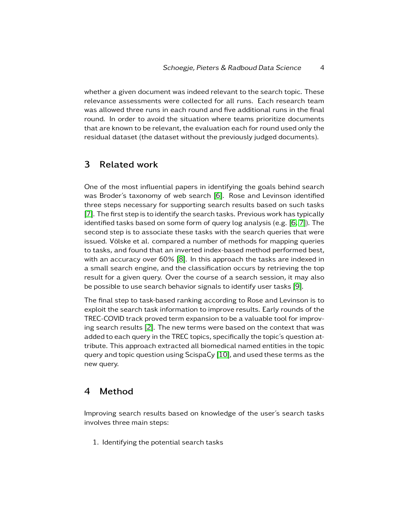whether a given document was indeed relevant to the search topic. These relevance assessments were collected for all runs. Each research team was allowed three runs in each round and five additional runs in the final round. In order to avoid the situation where teams prioritize documents that are known to be relevant, the evaluation each for round used only the residual dataset (the dataset without the previously judged documents).

## 3 Related work

One of the most influential papers in identifying the goals behind search was Broder's taxonomy of web search [\[6\]](#page-14-2). Rose and Levinson identified three steps necessary for supporting search results based on such tasks [\[7\]](#page-14-3). The first step is to identify the search tasks. Previous work has typically identified tasks based on some form of query log analysis (e.g. [\[6,](#page-14-2) [7\]](#page-14-3)). The second step is to associate these tasks with the search queries that were issued. Völske et al. compared a number of methods for mapping queries to tasks, and found that an inverted index-based method performed best, with an accuracy over 60% [\[8\]](#page-14-4). In this approach the tasks are indexed in a small search engine, and the classification occurs by retrieving the top result for a given query. Over the course of a search session, it may also be possible to use search behavior signals to identify user tasks [\[9\]](#page-14-5).

The final step to task-based ranking according to Rose and Levinson is to exploit the search task information to improve results. Early rounds of the TREC-COVID track proved term expansion to be a valuable tool for improving search results [\[2\]](#page-13-1). The new terms were based on the context that was added to each query in the TREC topics, specifically the topic's question attribute. This approach extracted all biomedical named entities in the topic query and topic question using  $ScispaCy[10]$  $ScispaCy[10]$ , and used these terms as the new query.

## 4 Method

Improving search results based on knowledge of the user's search tasks involves three main steps:

1. Identifying the potential search tasks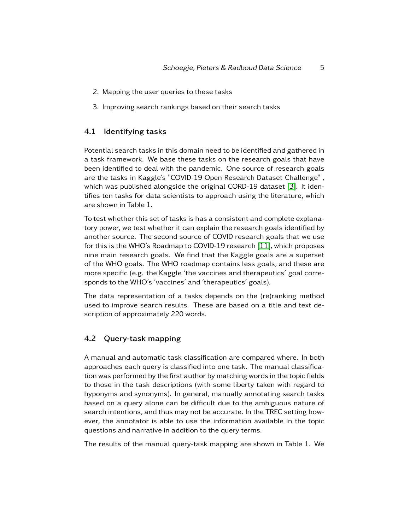- 2. Mapping the user queries to these tasks
- 3. Improving search rankings based on their search tasks

### 4.1 Identifying tasks

Potential search tasks in this domain need to be identified and gathered in a task framework. We base these tasks on the research goals that have been identified to deal with the pandemic. One source of research goals are the tasks in Kaggle's "COVID-19 Open Research Dataset Challenge" , which was published alongside the original CORD-19 dataset [\[3\]](#page-13-2). It identifies ten tasks for data scientists to approach using the literature, which are shown in Table 1.

To test whether this set of tasks is has a consistent and complete explanatory power, we test whether it can explain the research goals identified by another source. The second source of COVID research goals that we use for this is the WHO's Roadmap to COVID-19 research [\[11\]](#page-15-0), which proposes nine main research goals. We find that the Kaggle goals are a superset of the WHO goals. The WHO roadmap contains less goals, and these are more specific (e.g. the Kaggle 'the vaccines and therapeutics' goal corresponds to the WHO's 'vaccines' and 'therapeutics' goals).

The data representation of a tasks depends on the (re)ranking method used to improve search results. These are based on a title and text description of approximately 220 words.

## 4.2 Query-task mapping

A manual and automatic task classification are compared where. In both approaches each query is classified into one task. The manual classification was performed by the first author by matching words in the topic fields to those in the task descriptions (with some liberty taken with regard to hyponyms and synonyms). In general, manually annotating search tasks based on a query alone can be difficult due to the ambiguous nature of search intentions, and thus may not be accurate. In the TREC setting however, the annotator is able to use the information available in the topic questions and narrative in addition to the query terms.

The results of the manual query-task mapping are shown in Table 1. We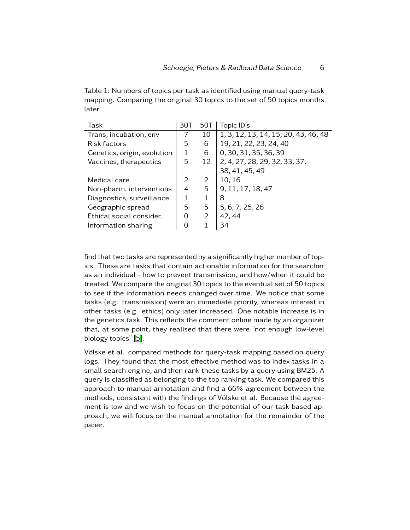Table 1: Numbers of topics per task as identified using manual query-task mapping. Comparing the original 30 topics to the set of 50 topics months later.

| 30T           | 50T | Topic ID's                           |
|---------------|-----|--------------------------------------|
| 7             | 10  | 1, 3, 12, 13, 14, 15, 20, 43, 46, 48 |
| 5             | 6   | 19, 21, 22, 23, 24, 40               |
|               | 6   | 0, 30, 31, 35, 36, 39                |
| 5             | 12  | 2, 4, 27, 28, 29, 32, 33, 37,        |
|               |     | 38, 41, 45, 49                       |
| $\mathcal{P}$ | 2   | 10, 16                               |
| 4             | 5   | 9, 11, 17, 18, 47                    |
| 1             | 1   | 8                                    |
| 5             | 5   | 5, 6, 7, 25, 26                      |
| 0             | 2   | 42, 44                               |
| 0             |     | 34                                   |
|               |     |                                      |

find that two tasks are represented by a significantly higher number of topics. These are tasks that contain actionable information for the searcher as an individual - how to prevent transmission, and how/when it could be treated. We compare the original 30 topics to the eventual set of 50 topics to see if the information needs changed over time. We notice that some tasks (e.g. transmission) were an immediate priority, whereas interest in other tasks (e.g. ethics) only later increased. One notable increase is in the genetics task. This reflects the comment online made by an organizer that, at some point, they realised that there were "not enough low-level biology topics" [\[5\]](#page-14-1).

Völske et al. compared methods for query-task mapping based on query logs. They found that the most effective method was to index tasks in a small search engine, and then rank these tasks by a query using BM25. A query is classified as belonging to the top ranking task. We compared this approach to manual annotation and find a 66% agreement between the methods, consistent with the findings of Völske et al. Because the agreement is low and we wish to focus on the potential of our task-based approach, we will focus on the manual annotation for the remainder of the paper.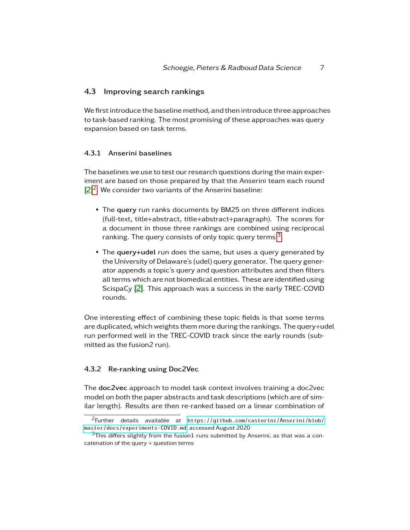### 4.3 Improving search rankings

We first introduce the baseline method, and then introduce three approaches to task-based ranking. The most promising of these approaches was query expansion based on task terms.

#### 4.3.1 Anserini baselines

The baselines we use to test our research questions during the main experiment are based on those prepared by that the Anserini team each round  $[2]^2$  $[2]^2$  $[2]^2$ . We consider two variants of the Anserini baseline:

- The query run ranks documents by BM25 on three different indices (full-text, title+abstract, title+abstract+paragraph). The scores for a document in those three rankings are combined using reciprocal ranking. The query consists of only topic query terms  $^3\!$  $^3\!$  $^3\!$
- The query+udel run does the same, but uses a query generated by the University of Delaware's (udel) query generator. The query generator appends a topic's query and question attributes and then filters all terms which are not biomedical entities. These are identified using ScispaCy [\[2\]](#page-13-1). This approach was a success in the early TREC-COVID rounds.

One interesting effect of combining these topic fields is that some terms are duplicated, which weights them more during the rankings. The query+udel run performed well in the TREC-COVID track since the early rounds (submitted as the fusion2 run).

#### 4.3.2 Re-ranking using Doc2Vec

The doc2vec approach to model task context involves training a doc2vec model on both the paper abstracts and task descriptions (which are of similar length). Results are then re-ranked based on a linear combination of

<span id="page-6-0"></span><sup>2</sup>Further details available at [https://github.com/castorini/Anserini/blob/](https://github.com/castorini/Anserini/blob/master/docs/experiments-COVID.md) [master/docs/experiments-COVID.md](https://github.com/castorini/Anserini/blob/master/docs/experiments-COVID.md), accessed August 2020

<span id="page-6-1"></span> $3$ This differs slightly from the fusion1 runs submitted by Anserini, as that was a concatenation of the query  $+$  question terms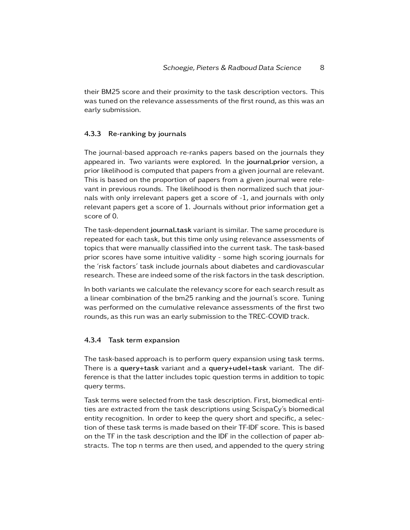their BM25 score and their proximity to the task description vectors. This was tuned on the relevance assessments of the first round, as this was an early submission.

#### 4.3.3 Re-ranking by journals

The journal-based approach re-ranks papers based on the journals they appeared in. Two variants were explored. In the journal.prior version, a prior likelihood is computed that papers from a given journal are relevant. This is based on the proportion of papers from a given journal were relevant in previous rounds. The likelihood is then normalized such that journals with only irrelevant papers get a score of -1, and journals with only relevant papers get a score of 1. Journals without prior information get a score of 0.

The task-dependent journal.task variant is similar. The same procedure is repeated for each task, but this time only using relevance assessments of topics that were manually classified into the current task. The task-based prior scores have some intuitive validity - some high scoring journals for the 'risk factors' task include journals about diabetes and cardiovascular research. These are indeed some of the risk factors in the task description.

In both variants we calculate the relevancy score for each search result as a linear combination of the bm25 ranking and the journal's score. Tuning was performed on the cumulative relevance assessments of the first two rounds, as this run was an early submission to the TREC-COVID track.

#### 4.3.4 Task term expansion

The task-based approach is to perform query expansion using task terms. There is a query+task variant and a query+udel+task variant. The difference is that the latter includes topic question terms in addition to topic query terms.

Task terms were selected from the task description. First, biomedical entities are extracted from the task descriptions using ScispaCy's biomedical entity recognition. In order to keep the query short and specific, a selection of these task terms is made based on their TF-IDF score. This is based on the TF in the task description and the IDF in the collection of paper abstracts. The top n terms are then used, and appended to the query string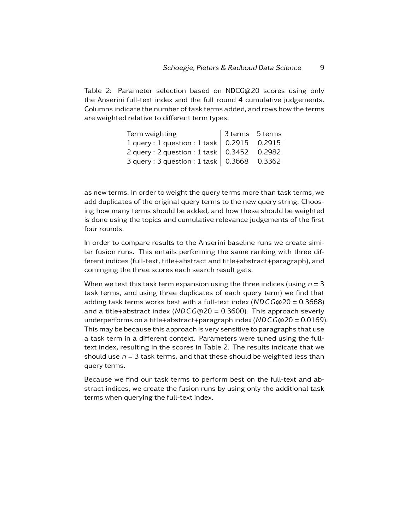Table 2: Parameter selection based on NDCG@20 scores using only the Anserini full-text index and the full round 4 cumulative judgements. Columns indicate the number of task terms added, and rows how the terms are weighted relative to different term types.

| Term weighting                              | 3 terms 5 terms |  |
|---------------------------------------------|-----------------|--|
| 1 query: 1 question: 1 task   0.2915 0.2915 |                 |  |
| 2 query: 2 question: 1 task   0.3452 0.2982 |                 |  |
| 3 query: 3 question: 1 task   0.3668 0.3362 |                 |  |

as new terms. In order to weight the query terms more than task terms, we add duplicates of the original query terms to the new query string. Choosing how many terms should be added, and how these should be weighted is done using the topics and cumulative relevance judgements of the first four rounds.

In order to compare results to the Anserini baseline runs we create similar fusion runs. This entails performing the same ranking with three different indices (full-text, title+abstract and title+abstract+paragraph), and cominging the three scores each search result gets.

When we test this task term expansion using the three indices (using  $n = 3$ ) task terms, and using three duplicates of each query term) we find that adding task terms works best with a full-text index (NDCG@20 = 0*.*3668) and a title+abstract index (NDCG@20 = 0*.*3600). This approach severly underperforms on a title+abstract+paragraph index (NDCG@20 = 0*.*0169). This may be because this approach is very sensitive to paragraphs that use a task term in a different context. Parameters were tuned using the fulltext index, resulting in the scores in Table 2. The results indicate that we should use  $n = 3$  task terms, and that these should be weighted less than query terms.

Because we find our task terms to perform best on the full-text and abstract indices, we create the fusion runs by using only the additional task terms when querying the full-text index.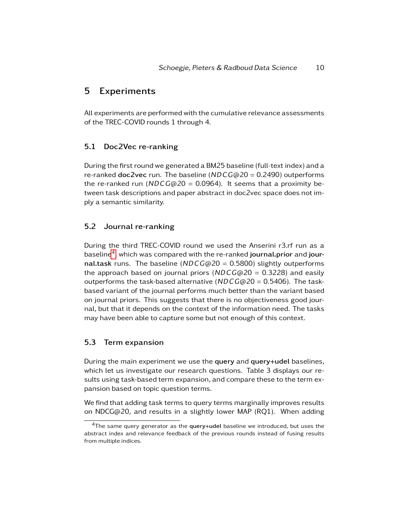## 5 Experiments

All experiments are performed with the cumulative relevance assessments of the TREC-COVID rounds 1 through 4.

### 5.1 Doc2Vec re-ranking

During the first round we generated a BM25 baseline (full-text index) and a re-ranked doc2vec run. The baseline (NDCG@20 = 0*.*2490) outperforms the re-ranked run (NDCG@20 = 0*.*0964). It seems that a proximity between task descriptions and paper abstract in doc2vec space does not imply a semantic similarity.

### 5.2 Journal re-ranking

During the third TREC-COVID round we used the Anserini r3.rf run as a baseline ${}^4$  ${}^4$ , which was compared with the re-ranked **journal.prior** and **jour**nal.task runs. The baseline (NDCG@20 = 0*.*5800) slightly outperforms the approach based on journal priors (NDCG@20 = 0*.*3228) and easily outperforms the task-based alternative (NDCG@20 = 0*.*5406). The taskbased variant of the journal performs much better than the variant based on journal priors. This suggests that there is no objectiveness good journal, but that it depends on the context of the information need. The tasks may have been able to capture some but not enough of this context.

## 5.3 Term expansion

During the main experiment we use the query and query+udel baselines, which let us investigate our research questions. Table 3 displays our results using task-based term expansion, and compare these to the term expansion based on topic question terms.

We find that adding task terms to query terms marginally improves results on NDCG@20, and results in a slightly lower MAP (RQ1). When adding

<span id="page-9-0"></span> $4$ The same query generator as the query+udel baseline we introduced, but uses the abstract index and relevance feedback of the previous rounds instead of fusing results from multiple indices.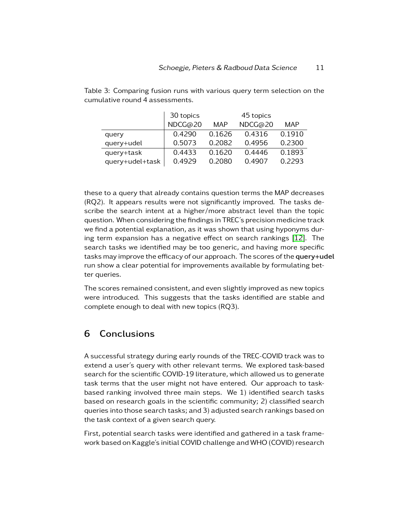|                 | 30 topics |        | 45 topics |        |
|-----------------|-----------|--------|-----------|--------|
|                 | NDCG@20   | MAP    | NDCG@20   | MAP    |
| query           | 0.4290    | 0.1626 | 0.4316    | 0.1910 |
| query+udel      | 0.5073    | 0.2082 | 0.4956    | 0.2300 |
| query+task      | 0.4433    | 0.1620 | 0.4446    | 0.1893 |
| query+udel+task | 0.4929    | 0.2080 | 0.4907    | 0.2293 |

Table 3: Comparing fusion runs with various query term selection on the cumulative round 4 assessments.

these to a query that already contains question terms the MAP decreases (RQ2). It appears results were not significantly improved. The tasks describe the search intent at a higher/more abstract level than the topic question. When considering the findings in TREC's precision medicine track we find a potential explanation, as it was shown that using hyponyms during term expansion has a negative effect on search rankings [\[12\]](#page-15-1). The search tasks we identified may be too generic, and having more specific tasks may improve the efficacy of our approach. The scores of the query+udel run show a clear potential for improvements available by formulating better queries.

The scores remained consistent, and even slightly improved as new topics were introduced. This suggests that the tasks identified are stable and complete enough to deal with new topics (RQ3).

## 6 Conclusions

A successful strategy during early rounds of the TREC-COVID track was to extend a user's query with other relevant terms. We explored task-based search for the scientific COVID-19 literature, which allowed us to generate task terms that the user might not have entered. Our approach to taskbased ranking involved three main steps. We 1) identified search tasks based on research goals in the scientific community; 2) classified search queries into those search tasks; and 3) adjusted search rankings based on the task context of a given search query.

First, potential search tasks were identified and gathered in a task framework based on Kaggle's initial COVID challenge and WHO (COVID) research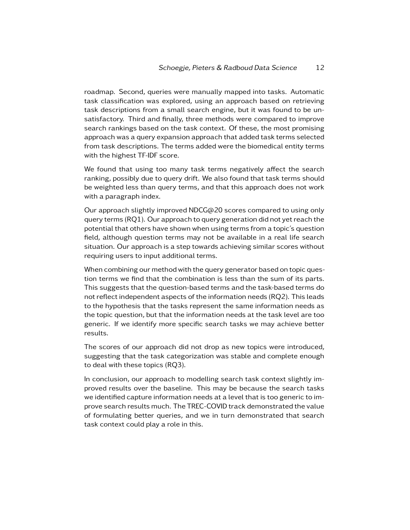roadmap. Second, queries were manually mapped into tasks. Automatic task classification was explored, using an approach based on retrieving task descriptions from a small search engine, but it was found to be unsatisfactory. Third and finally, three methods were compared to improve search rankings based on the task context. Of these, the most promising approach was a query expansion approach that added task terms selected from task descriptions. The terms added were the biomedical entity terms with the highest TF-IDF score.

We found that using too many task terms negatively affect the search ranking, possibly due to query drift. We also found that task terms should be weighted less than query terms, and that this approach does not work with a paragraph index.

Our approach slightly improved NDCG@20 scores compared to using only query terms (RQ1). Our approach to query generation did not yet reach the potential that others have shown when using terms from a topic's question field, although question terms may not be available in a real life search situation. Our approach is a step towards achieving similar scores without requiring users to input additional terms.

When combining our method with the query generator based on topic question terms we find that the combination is less than the sum of its parts. This suggests that the question-based terms and the task-based terms do not reflect independent aspects of the information needs (RQ2). This leads to the hypothesis that the tasks represent the same information needs as the topic question, but that the information needs at the task level are too generic. If we identify more specific search tasks we may achieve better results.

The scores of our approach did not drop as new topics were introduced, suggesting that the task categorization was stable and complete enough to deal with these topics (RQ3).

In conclusion, our approach to modelling search task context slightly improved results over the baseline. This may be because the search tasks we identified capture information needs at a level that is too generic to improve search results much. The TREC-COVID track demonstrated the value of formulating better queries, and we in turn demonstrated that search task context could play a role in this.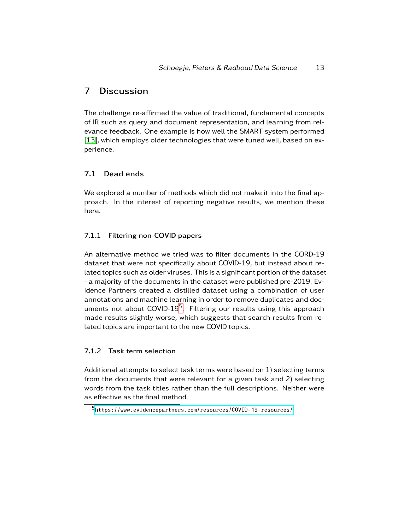## 7 Discussion

The challenge re-affirmed the value of traditional, fundamental concepts of IR such as query and document representation, and learning from relevance feedback. One example is how well the SMART system performed [\[13\]](#page-15-2), which employs older technologies that were tuned well, based on experience.

### 7.1 Dead ends

We explored a number of methods which did not make it into the final approach. In the interest of reporting negative results, we mention these here.

## 7.1.1 Filtering non-COVID papers

An alternative method we tried was to filter documents in the CORD-19 dataset that were not specifically about COVID-19, but instead about related topics such as older viruses. This is a significant portion of the dataset - a majority of the documents in the dataset were published pre-2019. Evidence Partners created a distilled dataset using a combination of user annotations and machine learning in order to remove duplicates and doc-uments not about COVID-19<sup>[5](#page-12-0)</sup>. Filtering our results using this approach made results slightly worse, which suggests that search results from related topics are important to the new COVID topics.

### 7.1.2 Task term selection

Additional attempts to select task terms were based on 1) selecting terms from the documents that were relevant for a given task and 2) selecting words from the task titles rather than the full descriptions. Neither were as effective as the final method.

<span id="page-12-0"></span><sup>5</sup><https://www.evidencepartners.com/resources/COVID-19-resources/>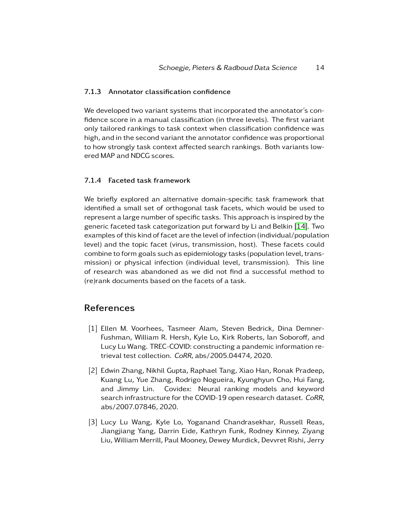#### 7.1.3 Annotator classification confidence

We developed two variant systems that incorporated the annotator's confidence score in a manual classification (in three levels). The first variant only tailored rankings to task context when classification confidence was high, and in the second variant the annotator confidence was proportional to how strongly task context affected search rankings. Both variants lowered MAP and NDCG scores.

#### 7.1.4 Faceted task framework

We briefly explored an alternative domain-specific task framework that identified a small set of orthogonal task facets, which would be used to represent a large number of specific tasks. This approach is inspired by the generic faceted task categorization put forward by Li and Belkin [\[14\]](#page-15-3). Two examples of this kind of facet are the level of infection (individual/population level) and the topic facet (virus, transmission, host). These facets could combine to form goals such as epidemiology tasks (population level, transmission) or physical infection (individual level, transmission). This line of research was abandoned as we did not find a successful method to (re)rank documents based on the facets of a task.

## References

- <span id="page-13-0"></span>[1] Ellen M. Voorhees, Tasmeer Alam, Steven Bedrick, Dina Demner-Fushman, William R. Hersh, Kyle Lo, Kirk Roberts, Ian Soboroff, and Lucy Lu Wang. TREC-COVID: constructing a pandemic information retrieval test collection. CoRR, abs/2005.04474, 2020.
- <span id="page-13-1"></span>[2] Edwin Zhang, Nikhil Gupta, Raphael Tang, Xiao Han, Ronak Pradeep, Kuang Lu, Yue Zhang, Rodrigo Nogueira, Kyunghyun Cho, Hui Fang, and Jimmy Lin. Covidex: Neural ranking models and keyword search infrastructure for the COVID-19 open research dataset. CoRR, abs/2007.07846, 2020.
- <span id="page-13-2"></span>[3] Lucy Lu Wang, Kyle Lo, Yoganand Chandrasekhar, Russell Reas, Jiangjiang Yang, Darrin Eide, Kathryn Funk, Rodney Kinney, Ziyang Liu, William Merrill, Paul Mooney, Dewey Murdick, Devvret Rishi, Jerry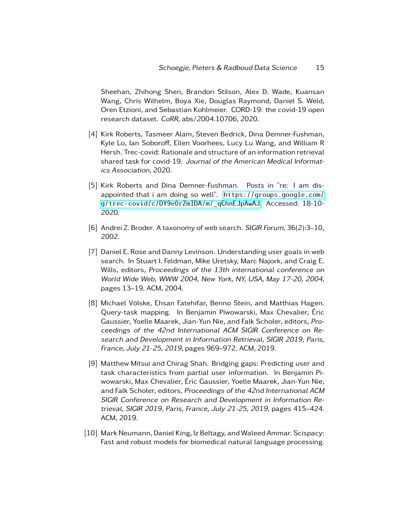Sheehan, Zhihong Shen, Brandon Stilson, Alex D. Wade, Kuansan Wang, Chris Wilhelm, Boya Xie, Douglas Raymond, Daniel S. Weld, Oren Etzioni, and Sebastian Kohlmeier. CORD-19: the covid-19 open research dataset. CoRR, abs/2004.10706, 2020.

- <span id="page-14-0"></span>[4] Kirk Roberts, Tasmeer Alam, Steven Bedrick, Dina Demner-Fushman, Kyle Lo, Ian Soboroff, Ellen Voorhees, Lucy Lu Wang, and William R Hersh. Trec-covid: Rationale and structure of an information retrieval shared task for covid-19. Journal of the American Medical Informatics Association, 2020.
- <span id="page-14-1"></span>[5] Kirk Roberts and Dina Demner-Fushman. Posts in "re: I am disappointed that i am doing so well". [https://groups.google.com/](https://groups.google.com/g/trec-covid/c/DY9e0rZmIDA/m/_qChnEJpAwAJ) [g/trec-covid/c/DY9e0rZmIDA/m/\\_qChnEJpAwAJ](https://groups.google.com/g/trec-covid/c/DY9e0rZmIDA/m/_qChnEJpAwAJ). Accessed: 18-10- 2020.
- <span id="page-14-2"></span>[6] Andrei Z. Broder. A taxonomy of web search. SIGIR Forum, 36(2):3–10, 2002.
- <span id="page-14-3"></span>[7] Daniel E. Rose and Danny Levinson. Understanding user goals in web search. In Stuart I. Feldman, Mike Uretsky, Marc Najork, and Craig E. Wills, editors, Proceedings of the 13th international conference on World Wide Web, WWW 2004, New York, NY, USA, May 17-20, 2004, pages 13–19. ACM, 2004.
- <span id="page-14-4"></span>[8] Michael Völske, Ehsan Fatehifar, Benno Stein, and Matthias Hagen. Query-task mapping. In Benjamin Piwowarski, Max Chevalier, Éric Gaussier, Yoelle Maarek, Jian-Yun Nie, and Falk Scholer, editors, Proceedings of the 42nd International ACM SIGIR Conference on Research and Development in Information Retrieval, SIGIR 2019, Paris, France, July 21-25, 2019, pages 969–972. ACM, 2019.
- <span id="page-14-5"></span>[9] Matthew Mitsui and Chirag Shah. Bridging gaps: Predicting user and task characteristics from partial user information. In Benjamin Piwowarski, Max Chevalier, Éric Gaussier, Yoelle Maarek, Jian-Yun Nie, and Falk Scholer, editors, Proceedings of the 42nd International ACM SIGIR Conference on Research and Development in Information Retrieval, SIGIR 2019, Paris, France, July 21-25, 2019, pages 415–424. ACM, 2019.
- <span id="page-14-6"></span>[10] Mark Neumann, Daniel King, Iz Beltagy, and Waleed Ammar. Scispacy: Fast and robust models for biomedical natural language processing.